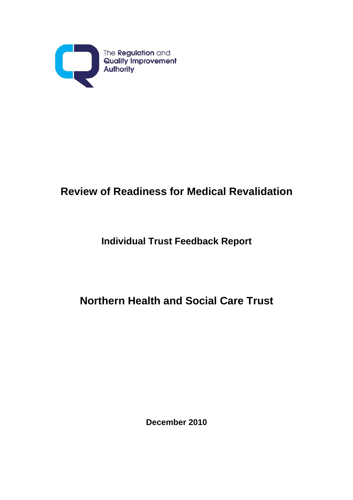

# **Review of Readiness for Medical Revalidation**

# **Individual Trust Feedback Report**

# **Northern Health and Social Care Trust**

**December 2010**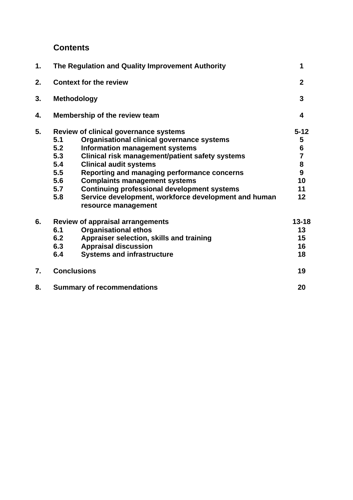# **Contents**

| 1. | The Regulation and Quality Improvement Authority |                                                                             |                                       |
|----|--------------------------------------------------|-----------------------------------------------------------------------------|---------------------------------------|
| 2. | <b>Context for the review</b>                    |                                                                             |                                       |
| 3. | <b>Methodology</b>                               |                                                                             |                                       |
| 4. | Membership of the review team                    |                                                                             |                                       |
| 5. | Review of clinical governance systems            |                                                                             | $5 - 12$                              |
|    | 5.1                                              | Organisational clinical governance systems                                  | 5                                     |
|    | 5.2                                              | Information management systems                                              | $\frac{6}{7}$                         |
|    | 5.3                                              | Clinical risk management/patient safety systems                             |                                       |
|    | 5.4                                              | <b>Clinical audit systems</b>                                               | $\begin{array}{c} 8 \\ 9 \end{array}$ |
|    | 5.5                                              | Reporting and managing performance concerns                                 |                                       |
|    | 5.6                                              | <b>Complaints management systems</b>                                        | 10                                    |
|    | 5.7                                              | <b>Continuing professional development systems</b>                          | 11                                    |
|    | 5.8                                              | Service development, workforce development and human<br>resource management | 12                                    |
| 6. | <b>Review of appraisal arrangements</b>          |                                                                             | $13 - 18$                             |
|    | 6.1                                              | <b>Organisational ethos</b>                                                 | 13                                    |
|    | 6.2                                              | Appraiser selection, skills and training                                    | 15                                    |
|    | 6.3                                              | <b>Appraisal discussion</b>                                                 | 16                                    |
|    | 6.4                                              | <b>Systems and infrastructure</b>                                           | 18                                    |
| 7. | <b>Conclusions</b>                               |                                                                             | 19                                    |
| 8. | <b>Summary of recommendations</b>                |                                                                             | 20                                    |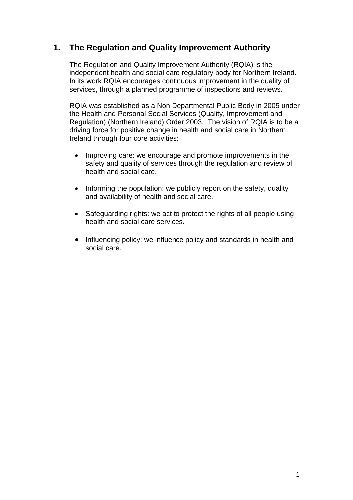# **1. The Regulation and Quality Improvement Authority**

The Regulation and Quality Improvement Authority (RQIA) is the independent health and social care regulatory body for Northern Ireland. In its work RQIA encourages continuous improvement in the quality of services, through a planned programme of inspections and reviews.

RQIA was established as a Non Departmental Public Body in 2005 under the Health and Personal Social Services (Quality, Improvement and Regulation) (Northern Ireland) Order 2003. The vision of RQIA is to be a driving force for positive change in health and social care in Northern Ireland through four core activities:

- Improving care: we encourage and promote improvements in the safety and quality of services through the regulation and review of health and social care.
- Informing the population: we publicly report on the safety, quality and availability of health and social care.
- Safeguarding rights: we act to protect the rights of all people using health and social care services.
- Influencing policy: we influence policy and standards in health and social care.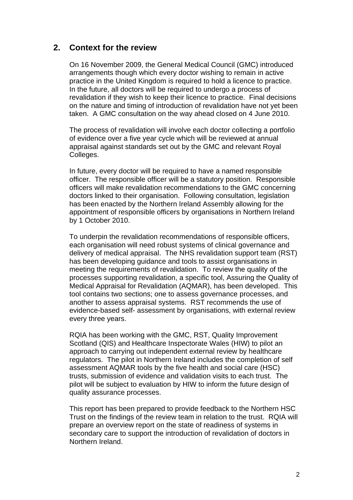### **2. Context for the review**

On 16 November 2009, the General Medical Council (GMC) introduced arrangements though which every doctor wishing to remain in active practice in the United Kingdom is required to hold a licence to practice. In the future, all doctors will be required to undergo a process of revalidation if they wish to keep their licence to practice. Final decisions on the nature and timing of introduction of revalidation have not yet been taken. A GMC consultation on the way ahead closed on 4 June 2010.

The process of revalidation will involve each doctor collecting a portfolio of evidence over a five year cycle which will be reviewed at annual appraisal against standards set out by the GMC and relevant Royal Colleges.

In future, every doctor will be required to have a named responsible officer. The responsible officer will be a statutory position. Responsible officers will make revalidation recommendations to the GMC concerning doctors linked to their organisation. Following consultation, legislation has been enacted by the Northern Ireland Assembly allowing for the appointment of responsible officers by organisations in Northern Ireland by 1 October 2010.

To underpin the revalidation recommendations of responsible officers, each organisation will need robust systems of clinical governance and delivery of medical appraisal. The NHS revalidation support team (RST) has been developing guidance and tools to assist organisations in meeting the requirements of revalidation. To review the quality of the processes supporting revalidation, a specific tool, Assuring the Quality of Medical Appraisal for Revalidation (AQMAR), has been developed. This tool contains two sections; one to assess governance processes, and another to assess appraisal systems. RST recommends the use of evidence-based self- assessment by organisations, with external review every three years.

RQIA has been working with the GMC, RST, Quality Improvement Scotland (QIS) and Healthcare Inspectorate Wales (HIW) to pilot an approach to carrying out independent external review by healthcare regulators. The pilot in Northern Ireland includes the completion of self assessment AQMAR tools by the five health and social care (HSC) trusts, submission of evidence and validation visits to each trust. The pilot will be subject to evaluation by HIW to inform the future design of quality assurance processes.

This report has been prepared to provide feedback to the Northern HSC Trust on the findings of the review team in relation to the trust. RQIA will prepare an overview report on the state of readiness of systems in secondary care to support the introduction of revalidation of doctors in Northern Ireland.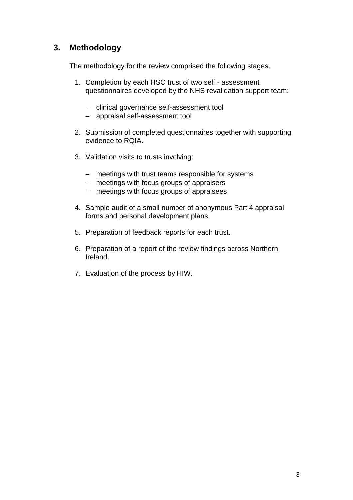# **3. Methodology**

The methodology for the review comprised the following stages.

- 1. Completion by each HSC trust of two self assessment questionnaires developed by the NHS revalidation support team:
	- − clinical governance self-assessment tool
	- − appraisal self-assessment tool
- 2. Submission of completed questionnaires together with supporting evidence to RQIA.
- 3. Validation visits to trusts involving:
	- − meetings with trust teams responsible for systems
	- − meetings with focus groups of appraisers
	- − meetings with focus groups of appraisees
- 4. Sample audit of a small number of anonymous Part 4 appraisal forms and personal development plans.
- 5. Preparation of feedback reports for each trust.
- 6. Preparation of a report of the review findings across Northern Ireland.
- 7. Evaluation of the process by HIW.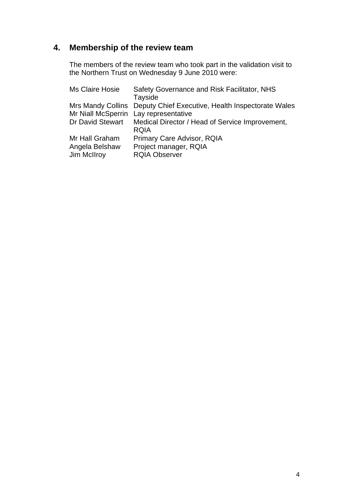# **4. Membership of the review team**

The members of the review team who took part in the validation visit to the Northern Trust on Wednesday 9 June 2010 were:

| Ms Claire Hosie                       | Safety Governance and Risk Facilitator, NHS<br>Tayside              |
|---------------------------------------|---------------------------------------------------------------------|
|                                       | Mrs Mandy Collins Deputy Chief Executive, Health Inspectorate Wales |
| Mr Niall McSperrin Lay representative |                                                                     |
| <b>Dr David Stewart</b>               | Medical Director / Head of Service Improvement,                     |
|                                       | <b>RQIA</b>                                                         |
| Mr Hall Graham                        | Primary Care Advisor, RQIA                                          |
| Angela Belshaw                        | Project manager, RQIA                                               |
| Jim McIIroy                           | <b>RQIA Observer</b>                                                |
|                                       |                                                                     |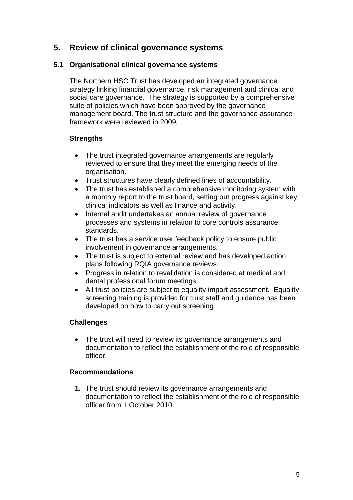# **5. Review of clinical governance systems**

#### **5.1 Organisational clinical governance systems**

The Northern HSC Trust has developed an integrated governance strategy linking financial governance, risk management and clinical and social care governance. The strategy is supported by a comprehensive suite of policies which have been approved by the governance management board. The trust structure and the governance assurance framework were reviewed in 2009.

#### **Strengths**

- The trust integrated governance arrangements are regularly reviewed to ensure that they meet the emerging needs of the organisation.
- Trust structures have clearly defined lines of accountability.
- The trust has established a comprehensive monitoring system with a monthly report to the trust board, setting out progress against key clinical indicators as well as finance and activity.
- Internal audit undertakes an annual review of governance processes and systems in relation to core controls assurance standards.
- The trust has a service user feedback policy to ensure public involvement in governance arrangements.
- The trust is subject to external review and has developed action plans following RQIA governance reviews.
- Progress in relation to revalidation is considered at medical and dental professional forum meetings.
- All trust policies are subiect to equality impart assessment. Equality screening training is provided for trust staff and guidance has been developed on how to carry out screening.

#### **Challenges**

• The trust will need to review its governance arrangements and documentation to reflect the establishment of the role of responsible officer.

#### **Recommendations**

**1.** The trust should review its governance arrangements and documentation to reflect the establishment of the role of responsible officer from 1 October 2010.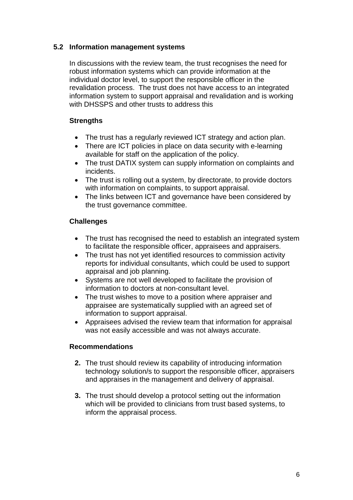#### **5.2 Information management systems**

In discussions with the review team, the trust recognises the need for robust information systems which can provide information at the individual doctor level, to support the responsible officer in the revalidation process. The trust does not have access to an integrated information system to support appraisal and revalidation and is working with DHSSPS and other trusts to address this

#### **Strengths**

- The trust has a regularly reviewed ICT strategy and action plan.
- There are ICT policies in place on data security with e-learning available for staff on the application of the policy.
- The trust DATIX system can supply information on complaints and incidents.
- The trust is rolling out a system, by directorate, to provide doctors with information on complaints, to support appraisal.
- The links between ICT and governance have been considered by the trust governance committee.

#### **Challenges**

- The trust has recognised the need to establish an integrated system to facilitate the responsible officer, appraisees and appraisers.
- The trust has not yet identified resources to commission activity reports for individual consultants, which could be used to support appraisal and job planning.
- Systems are not well developed to facilitate the provision of information to doctors at non-consultant level.
- The trust wishes to move to a position where appraiser and appraisee are systematically supplied with an agreed set of information to support appraisal.
- Appraisees advised the review team that information for appraisal was not easily accessible and was not always accurate.

#### **Recommendations**

- **2.** The trust should review its capability of introducing information technology solution/s to support the responsible officer, appraisers and appraises in the management and delivery of appraisal.
- **3.** The trust should develop a protocol setting out the information which will be provided to clinicians from trust based systems, to inform the appraisal process.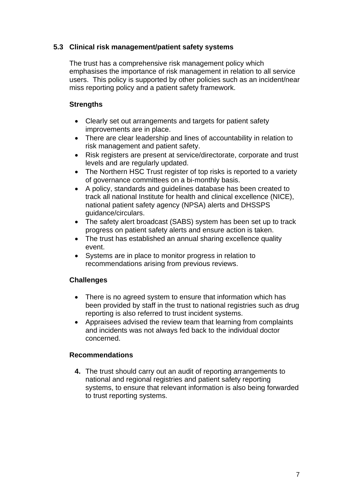#### **5.3 Clinical risk management/patient safety systems**

The trust has a comprehensive risk management policy which emphasises the importance of risk management in relation to all service users. This policy is supported by other policies such as an incident/near miss reporting policy and a patient safety framework.

#### **Strengths**

- Clearly set out arrangements and targets for patient safety improvements are in place.
- There are clear leadership and lines of accountability in relation to risk management and patient safety.
- Risk registers are present at service/directorate, corporate and trust levels and are regularly updated.
- The Northern HSC Trust register of top risks is reported to a variety of governance committees on a bi-monthly basis.
- A policy, standards and guidelines database has been created to track all national Institute for health and clinical excellence (NICE), national patient safety agency (NPSA) alerts and DHSSPS guidance/circulars.
- The safety alert broadcast (SABS) system has been set up to track progress on patient safety alerts and ensure action is taken.
- The trust has established an annual sharing excellence quality event.
- Systems are in place to monitor progress in relation to recommendations arising from previous reviews.

#### **Challenges**

- There is no agreed system to ensure that information which has been provided by staff in the trust to national registries such as drug reporting is also referred to trust incident systems.
- Appraisees advised the review team that learning from complaints and incidents was not always fed back to the individual doctor concerned.

#### **Recommendations**

**4.** The trust should carry out an audit of reporting arrangements to national and regional registries and patient safety reporting systems, to ensure that relevant information is also being forwarded to trust reporting systems.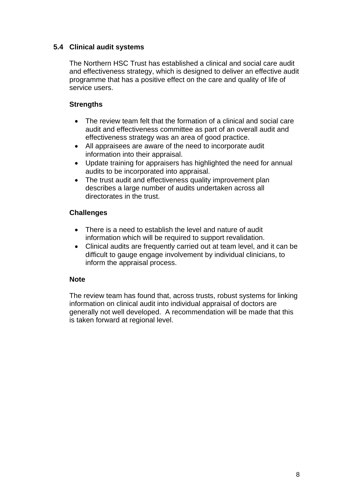#### **5.4 Clinical audit systems**

The Northern HSC Trust has established a clinical and social care audit and effectiveness strategy, which is designed to deliver an effective audit programme that has a positive effect on the care and quality of life of service users.

#### **Strengths**

- The review team felt that the formation of a clinical and social care audit and effectiveness committee as part of an overall audit and effectiveness strategy was an area of good practice.
- All appraisees are aware of the need to incorporate audit information into their appraisal.
- Update training for appraisers has highlighted the need for annual audits to be incorporated into appraisal.
- The trust audit and effectiveness quality improvement plan describes a large number of audits undertaken across all directorates in the trust.

#### **Challenges**

- There is a need to establish the level and nature of audit information which will be required to support revalidation.
- Clinical audits are frequently carried out at team level, and it can be difficult to gauge engage involvement by individual clinicians, to inform the appraisal process.

#### **Note**

The review team has found that, across trusts, robust systems for linking information on clinical audit into individual appraisal of doctors are generally not well developed. A recommendation will be made that this is taken forward at regional level.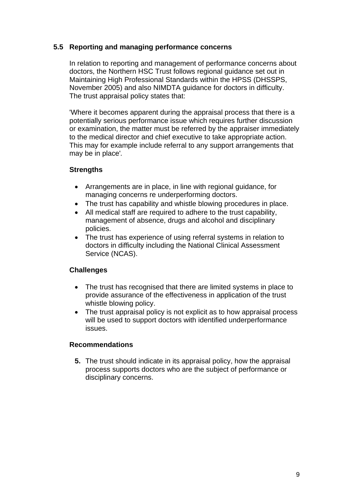#### **5.5 Reporting and managing performance concerns**

In relation to reporting and management of performance concerns about doctors, the Northern HSC Trust follows regional guidance set out in Maintaining High Professional Standards within the HPSS (DHSSPS, November 2005) and also NIMDTA guidance for doctors in difficulty. The trust appraisal policy states that:

'Where it becomes apparent during the appraisal process that there is a potentially serious performance issue which requires further discussion or examination, the matter must be referred by the appraiser immediately to the medical director and chief executive to take appropriate action. This may for example include referral to any support arrangements that may be in place'*.* 

#### **Strengths**

- Arrangements are in place, in line with regional guidance, for managing concerns re underperforming doctors.
- The trust has capability and whistle blowing procedures in place.
- All medical staff are required to adhere to the trust capability, management of absence, drugs and alcohol and disciplinary policies.
- The trust has experience of using referral systems in relation to doctors in difficulty including the National Clinical Assessment Service (NCAS).

#### **Challenges**

- The trust has recognised that there are limited systems in place to provide assurance of the effectiveness in application of the trust whistle blowing policy.
- The trust appraisal policy is not explicit as to how appraisal process will be used to support doctors with identified underperformance issues.

#### **Recommendations**

**5.** The trust should indicate in its appraisal policy, how the appraisal process supports doctors who are the subject of performance or disciplinary concerns.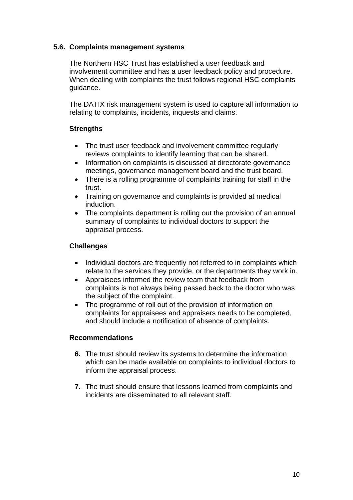#### **5.6. Complaints management systems**

The Northern HSC Trust has established a user feedback and involvement committee and has a user feedback policy and procedure. When dealing with complaints the trust follows regional HSC complaints guidance.

The DATIX risk management system is used to capture all information to relating to complaints, incidents, inquests and claims.

#### **Strengths**

- The trust user feedback and involvement committee regularly reviews complaints to identify learning that can be shared.
- Information on complaints is discussed at directorate governance meetings, governance management board and the trust board.
- There is a rolling programme of complaints training for staff in the trust.
- Training on governance and complaints is provided at medical induction.
- The complaints department is rolling out the provision of an annual summary of complaints to individual doctors to support the appraisal process.

#### **Challenges**

- Individual doctors are frequently not referred to in complaints which relate to the services they provide, or the departments they work in.
- Appraisees informed the review team that feedback from complaints is not always being passed back to the doctor who was the subject of the complaint.
- The programme of roll out of the provision of information on complaints for appraisees and appraisers needs to be completed, and should include a notification of absence of complaints.

#### **Recommendations**

- **6.** The trust should review its systems to determine the information which can be made available on complaints to individual doctors to inform the appraisal process.
- **7.** The trust should ensure that lessons learned from complaints and incidents are disseminated to all relevant staff.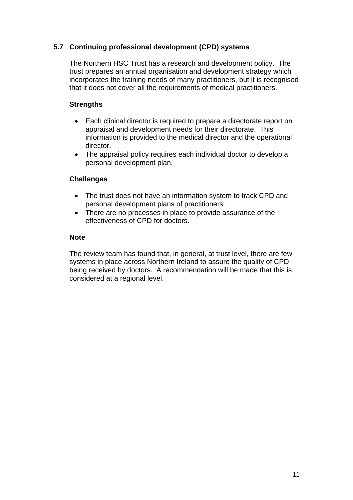#### **5.7 Continuing professional development (CPD) systems**

The Northern HSC Trust has a research and development policy. The trust prepares an annual organisation and development strategy which incorporates the training needs of many practitioners, but it is recognised that it does not cover all the requirements of medical practitioners.

#### **Strengths**

- Each clinical director is required to prepare a directorate report on appraisal and development needs for their directorate. This information is provided to the medical director and the operational director.
- The appraisal policy requires each individual doctor to develop a personal development plan.

#### **Challenges**

- The trust does not have an information system to track CPD and personal development plans of practitioners.
- There are no processes in place to provide assurance of the effectiveness of CPD for doctors.

#### **Note**

The review team has found that, in general, at trust level, there are few systems in place across Northern Ireland to assure the quality of CPD being received by doctors. A recommendation will be made that this is considered at a regional level.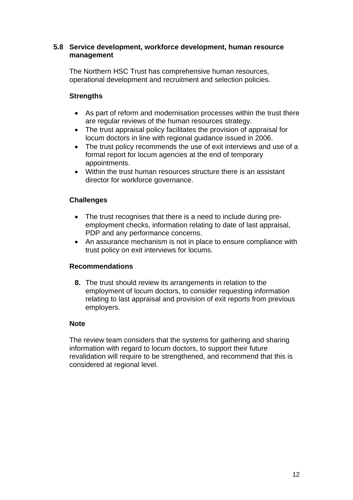#### **5.8 Service development, workforce development, human resource management**

The Northern HSC Trust has comprehensive human resources, operational development and recruitment and selection policies.

#### **Strengths**

- As part of reform and modernisation processes within the trust there are regular reviews of the human resources strategy.
- The trust appraisal policy facilitates the provision of appraisal for locum doctors in line with regional guidance issued in 2006.
- The trust policy recommends the use of exit interviews and use of a formal report for locum agencies at the end of temporary appointments.
- Within the trust human resources structure there is an assistant director for workforce governance.

#### **Challenges**

- The trust recognises that there is a need to include during preemployment checks, information relating to date of last appraisal, PDP and any performance concerns.
- An assurance mechanism is not in place to ensure compliance with trust policy on exit interviews for locums.

#### **Recommendations**

**8.** The trust should review its arrangements in relation to the employment of locum doctors, to consider requesting information relating to last appraisal and provision of exit reports from previous employers.

#### **Note**

The review team considers that the systems for gathering and sharing information with regard to locum doctors, to support their future revalidation will require to be strengthened, and recommend that this is considered at regional level.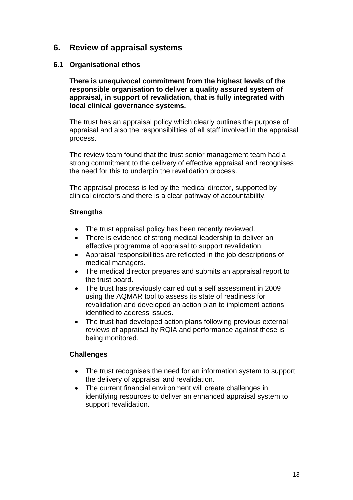## **6. Review of appraisal systems**

#### **6.1 Organisational ethos**

**There is unequivocal commitment from the highest levels of the responsible organisation to deliver a quality assured system of appraisal, in support of revalidation, that is fully integrated with local clinical governance systems.** 

The trust has an appraisal policy which clearly outlines the purpose of appraisal and also the responsibilities of all staff involved in the appraisal process.

The review team found that the trust senior management team had a strong commitment to the delivery of effective appraisal and recognises the need for this to underpin the revalidation process.

The appraisal process is led by the medical director, supported by clinical directors and there is a clear pathway of accountability.

#### **Strengths**

- The trust appraisal policy has been recently reviewed.
- There is evidence of strong medical leadership to deliver an effective programme of appraisal to support revalidation.
- Appraisal responsibilities are reflected in the job descriptions of medical managers.
- The medical director prepares and submits an appraisal report to the trust board.
- The trust has previously carried out a self assessment in 2009 using the AQMAR tool to assess its state of readiness for revalidation and developed an action plan to implement actions identified to address issues.
- The trust had developed action plans following previous external reviews of appraisal by RQIA and performance against these is being monitored.

#### **Challenges**

- The trust recognises the need for an information system to support the delivery of appraisal and revalidation.
- The current financial environment will create challenges in identifying resources to deliver an enhanced appraisal system to support revalidation.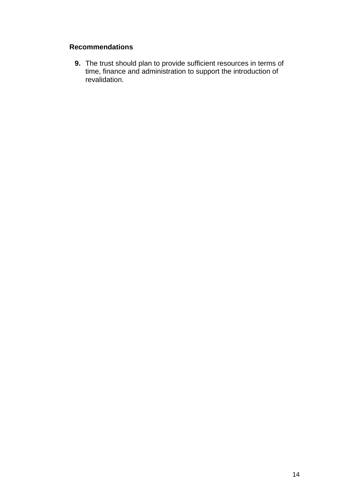### **Recommendations**

**9.** The trust should plan to provide sufficient resources in terms of time, finance and administration to support the introduction of revalidation.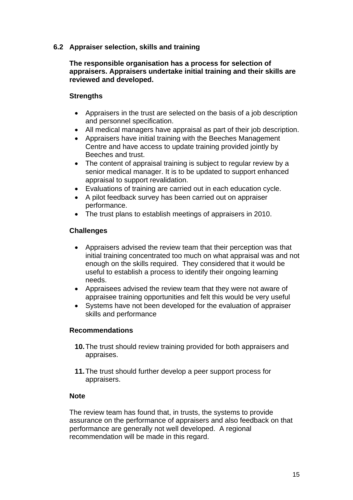#### **6.2 Appraiser selection, skills and training**

#### **The responsible organisation has a process for selection of appraisers. Appraisers undertake initial training and their skills are reviewed and developed.**

#### **Strengths**

- Appraisers in the trust are selected on the basis of a job description and personnel specification.
- All medical managers have appraisal as part of their job description.
- Appraisers have initial training with the Beeches Management Centre and have access to update training provided jointly by Beeches and trust.
- The content of appraisal training is subject to regular review by a senior medical manager. It is to be updated to support enhanced appraisal to support revalidation.
- Evaluations of training are carried out in each education cycle.
- A pilot feedback survey has been carried out on appraiser performance.
- The trust plans to establish meetings of appraisers in 2010.

#### **Challenges**

- Appraisers advised the review team that their perception was that initial training concentrated too much on what appraisal was and not enough on the skills required. They considered that it would be useful to establish a process to identify their ongoing learning needs.
- Appraisees advised the review team that they were not aware of appraisee training opportunities and felt this would be very useful
- Systems have not been developed for the evaluation of appraiser skills and performance

#### **Recommendations**

- **10.** The trust should review training provided for both appraisers and appraises.
- **11.** The trust should further develop a peer support process for appraisers.

#### **Note**

The review team has found that, in trusts, the systems to provide assurance on the performance of appraisers and also feedback on that performance are generally not well developed. A regional recommendation will be made in this regard.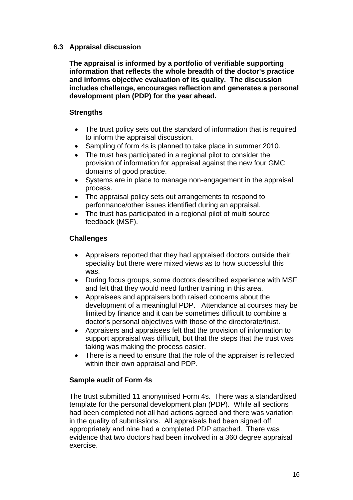#### **6.3 Appraisal discussion**

**The appraisal is informed by a portfolio of verifiable supporting information that reflects the whole breadth of the doctor's practice and informs objective evaluation of its quality. The discussion includes challenge, encourages reflection and generates a personal development plan (PDP) for the year ahead.** 

#### **Strengths**

- The trust policy sets out the standard of information that is required to inform the appraisal discussion.
- Sampling of form 4s is planned to take place in summer 2010.
- The trust has participated in a regional pilot to consider the provision of information for appraisal against the new four GMC domains of good practice.
- Systems are in place to manage non-engagement in the appraisal process.
- The appraisal policy sets out arrangements to respond to performance/other issues identified during an appraisal.
- The trust has participated in a regional pilot of multi source feedback (MSF).

#### **Challenges**

- Appraisers reported that they had appraised doctors outside their speciality but there were mixed views as to how successful this was.
- During focus groups, some doctors described experience with MSF and felt that they would need further training in this area.
- Appraisees and appraisers both raised concerns about the development of a meaningful PDP. Attendance at courses may be limited by finance and it can be sometimes difficult to combine a doctor's personal objectives with those of the directorate/trust.
- Appraisers and appraisees felt that the provision of information to support appraisal was difficult, but that the steps that the trust was taking was making the process easier.
- There is a need to ensure that the role of the appraiser is reflected within their own appraisal and PDP.

#### **Sample audit of Form 4s**

The trust submitted 11 anonymised Form 4s. There was a standardised template for the personal development plan (PDP). While all sections had been completed not all had actions agreed and there was variation in the quality of submissions. All appraisals had been signed off appropriately and nine had a completed PDP attached. There was evidence that two doctors had been involved in a 360 degree appraisal exercise.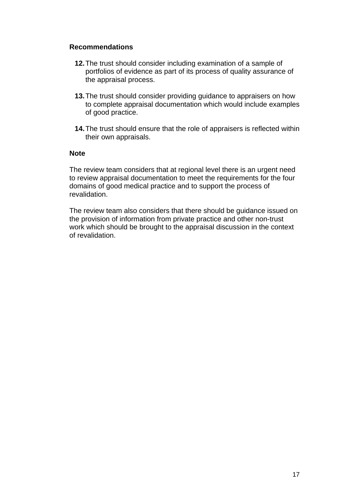#### **Recommendations**

- **12.** The trust should consider including examination of a sample of portfolios of evidence as part of its process of quality assurance of the appraisal process.
- **13.** The trust should consider providing guidance to appraisers on how to complete appraisal documentation which would include examples of good practice.
- **14.** The trust should ensure that the role of appraisers is reflected within their own appraisals.

#### **Note**

The review team considers that at regional level there is an urgent need to review appraisal documentation to meet the requirements for the four domains of good medical practice and to support the process of revalidation.

The review team also considers that there should be guidance issued on the provision of information from private practice and other non-trust work which should be brought to the appraisal discussion in the context of revalidation.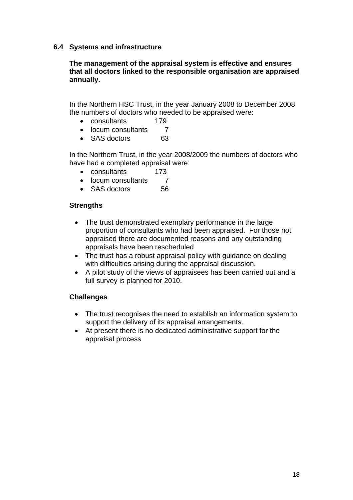#### **6.4 Systems and infrastructure**

#### **The management of the appraisal system is effective and ensures that all doctors linked to the responsible organisation are appraised annually.**

In the Northern HSC Trust, in the year January 2008 to December 2008 the numbers of doctors who needed to be appraised were:

- consultants 179
- locum consultants 7
- SAS doctors 63

In the Northern Trust, in the year 2008/2009 the numbers of doctors who have had a completed appraisal were:

- consultants 173
- locum consultants 7
- SAS doctors 56

#### **Strengths**

- The trust demonstrated exemplary performance in the large proportion of consultants who had been appraised. For those not appraised there are documented reasons and any outstanding appraisals have been rescheduled
- The trust has a robust appraisal policy with guidance on dealing with difficulties arising during the appraisal discussion.
- A pilot study of the views of appraisees has been carried out and a full survey is planned for 2010.

#### **Challenges**

- The trust recognises the need to establish an information system to support the delivery of its appraisal arrangements.
- At present there is no dedicated administrative support for the appraisal process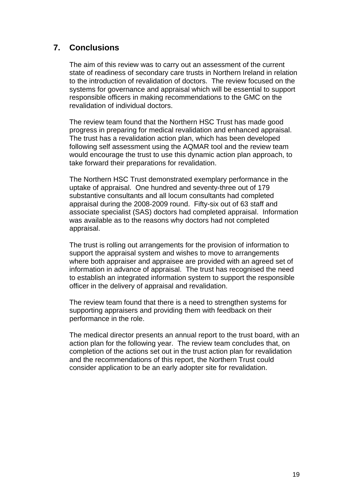# **7. Conclusions**

The aim of this review was to carry out an assessment of the current state of readiness of secondary care trusts in Northern Ireland in relation to the introduction of revalidation of doctors. The review focused on the systems for governance and appraisal which will be essential to support responsible officers in making recommendations to the GMC on the revalidation of individual doctors.

The review team found that the Northern HSC Trust has made good progress in preparing for medical revalidation and enhanced appraisal. The trust has a revalidation action plan, which has been developed following self assessment using the AQMAR tool and the review team would encourage the trust to use this dynamic action plan approach, to take forward their preparations for revalidation.

The Northern HSC Trust demonstrated exemplary performance in the uptake of appraisal. One hundred and seventy-three out of 179 substantive consultants and all locum consultants had completed appraisal during the 2008-2009 round. Fifty-six out of 63 staff and associate specialist (SAS) doctors had completed appraisal. Information was available as to the reasons why doctors had not completed appraisal.

The trust is rolling out arrangements for the provision of information to support the appraisal system and wishes to move to arrangements where both appraiser and appraisee are provided with an agreed set of information in advance of appraisal. The trust has recognised the need to establish an integrated information system to support the responsible officer in the delivery of appraisal and revalidation.

The review team found that there is a need to strengthen systems for supporting appraisers and providing them with feedback on their performance in the role.

The medical director presents an annual report to the trust board, with an action plan for the following year. The review team concludes that, on completion of the actions set out in the trust action plan for revalidation and the recommendations of this report, the Northern Trust could consider application to be an early adopter site for revalidation.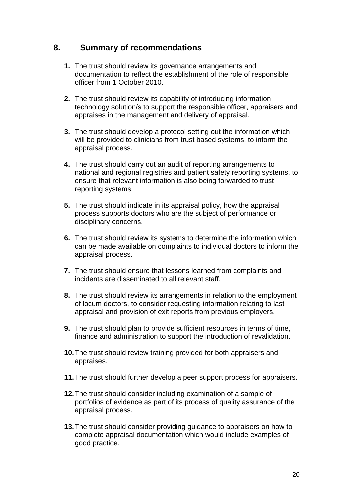## **8. Summary of recommendations**

- **1.** The trust should review its governance arrangements and documentation to reflect the establishment of the role of responsible officer from 1 October 2010.
- **2.** The trust should review its capability of introducing information technology solution/s to support the responsible officer, appraisers and appraises in the management and delivery of appraisal.
- **3.** The trust should develop a protocol setting out the information which will be provided to clinicians from trust based systems, to inform the appraisal process.
- **4.** The trust should carry out an audit of reporting arrangements to national and regional registries and patient safety reporting systems, to ensure that relevant information is also being forwarded to trust reporting systems.
- **5.** The trust should indicate in its appraisal policy, how the appraisal process supports doctors who are the subject of performance or disciplinary concerns.
- **6.** The trust should review its systems to determine the information which can be made available on complaints to individual doctors to inform the appraisal process.
- **7.** The trust should ensure that lessons learned from complaints and incidents are disseminated to all relevant staff.
- **8.** The trust should review its arrangements in relation to the employment of locum doctors, to consider requesting information relating to last appraisal and provision of exit reports from previous employers.
- **9.** The trust should plan to provide sufficient resources in terms of time, finance and administration to support the introduction of revalidation.
- **10.** The trust should review training provided for both appraisers and appraises.
- **11.** The trust should further develop a peer support process for appraisers.
- **12.** The trust should consider including examination of a sample of portfolios of evidence as part of its process of quality assurance of the appraisal process.
- **13.** The trust should consider providing guidance to appraisers on how to complete appraisal documentation which would include examples of good practice.